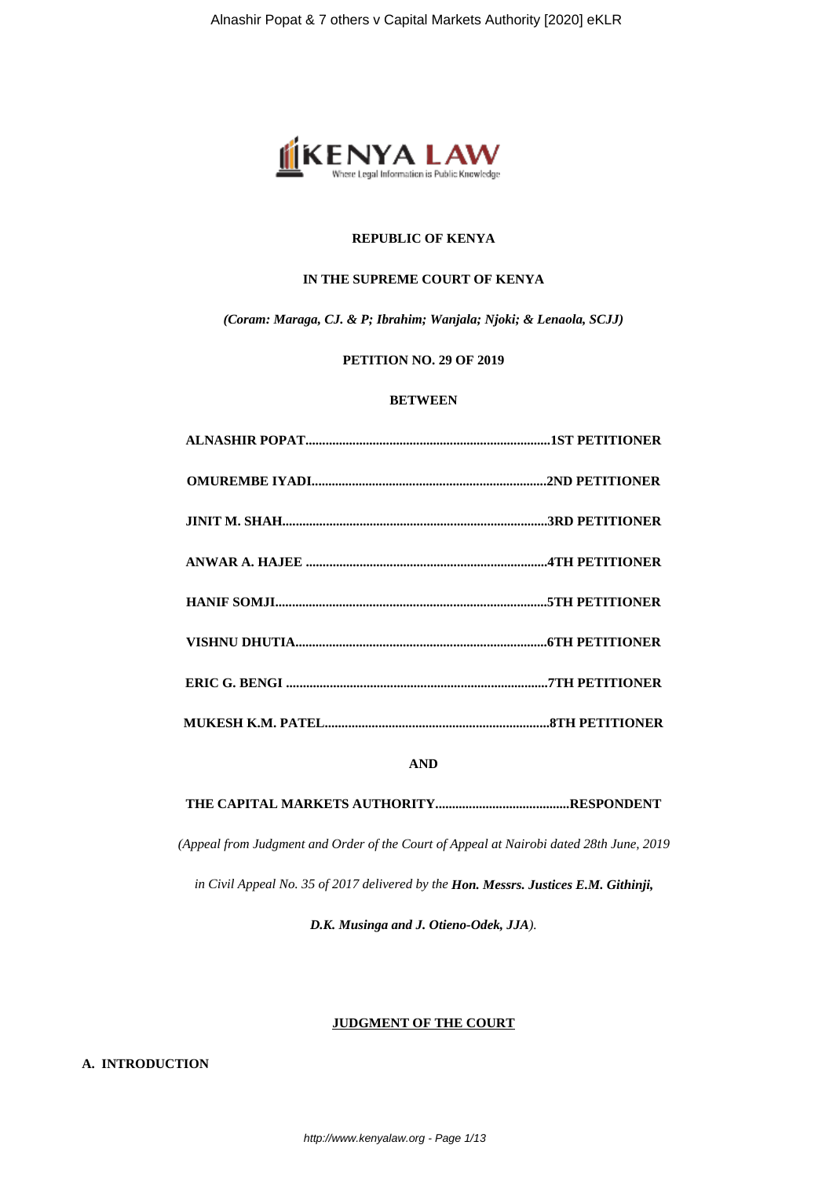

## **REPUBLIC OF KENYA**

## **IN THE SUPREME COURT OF KENYA**

*(Coram: Maraga, CJ. & P; Ibrahim; Wanjala; Njoki; & Lenaola, SCJJ)*

## **PETITION NO. 29 OF 2019**

## **BETWEEN**

**AND**

**THE CAPITAL MARKETS AUTHORITY........................................RESPONDENT**

*(Appeal from Judgment and Order of the Court of Appeal at Nairobi dated 28th June, 2019*

*in Civil Appeal No. 35 of 2017 delivered by the Hon. Messrs. Justices E.M. Githinji,*

*D.K. Musinga and J. Otieno-Odek, JJA).*

## **JUDGMENT OF THE COURT**

**A. INTRODUCTION**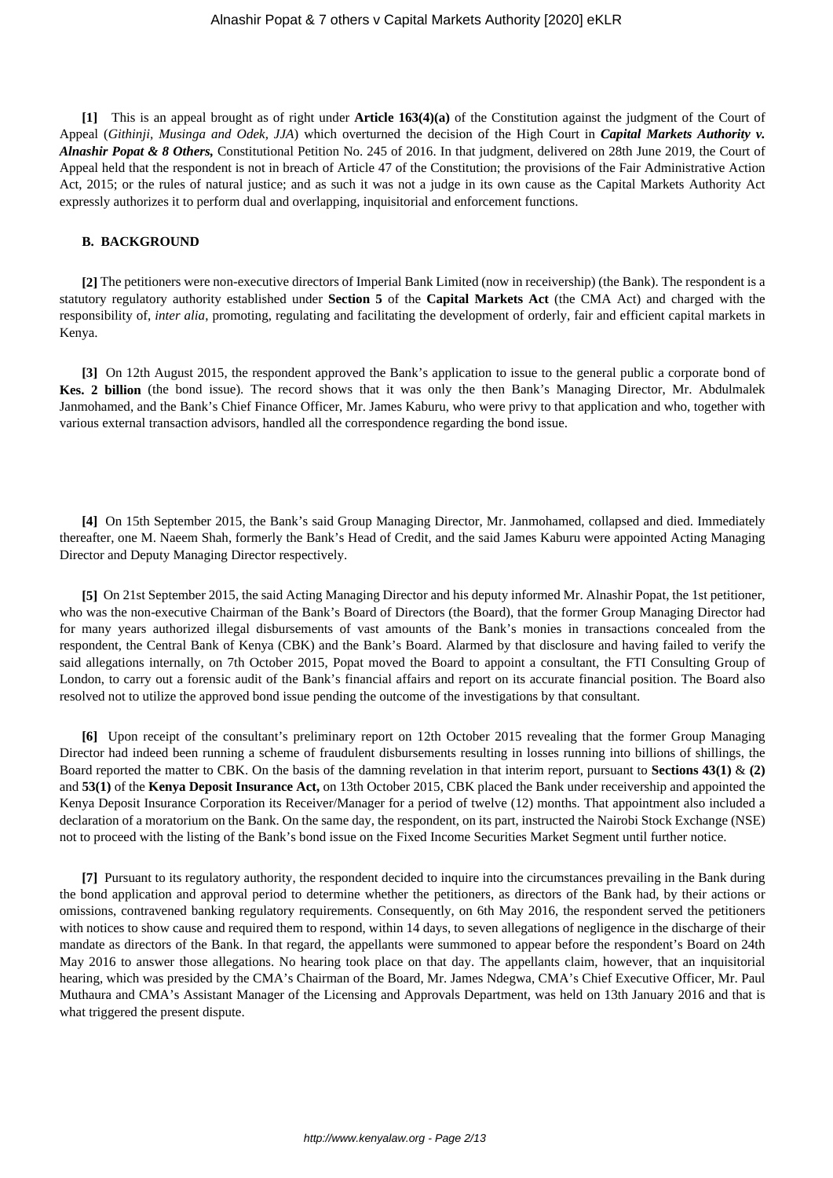**[1]** This is an appeal brought as of right under **Article 163(4)(a)** of the Constitution against the judgment of the Court of Appeal (*Githinji, Musinga and Odek, JJA*) which overturned the decision of the High Court in *Capital Markets Authority v. Alnashir Popat & 8 Others,* Constitutional Petition No. 245 of 2016. In that judgment, delivered on 28th June 2019, the Court of Appeal held that the respondent is not in breach of Article 47 of the Constitution; the provisions of the Fair Administrative Action Act, 2015; or the rules of natural justice; and as such it was not a judge in its own cause as the Capital Markets Authority Act expressly authorizes it to perform dual and overlapping, inquisitorial and enforcement functions.

### **B. BACKGROUND**

**[2]** The petitioners were non-executive directors of Imperial Bank Limited (now in receivership) (the Bank). The respondent is a statutory regulatory authority established under **Section 5** of the **Capital Markets Act** (the CMA Act) and charged with the responsibility of, *inter alia*, promoting, regulating and facilitating the development of orderly, fair and efficient capital markets in Kenya.

**[3]** On 12th August 2015, the respondent approved the Bank's application to issue to the general public a corporate bond of **Kes. 2 billion** (the bond issue). The record shows that it was only the then Bank's Managing Director, Mr. Abdulmalek Janmohamed, and the Bank's Chief Finance Officer, Mr. James Kaburu, who were privy to that application and who, together with various external transaction advisors, handled all the correspondence regarding the bond issue.

**[4]** On 15th September 2015, the Bank's said Group Managing Director, Mr. Janmohamed, collapsed and died. Immediately thereafter, one M. Naeem Shah, formerly the Bank's Head of Credit, and the said James Kaburu were appointed Acting Managing Director and Deputy Managing Director respectively.

**[5]** On 21st September 2015, the said Acting Managing Director and his deputy informed Mr. Alnashir Popat, the 1st petitioner, who was the non-executive Chairman of the Bank's Board of Directors (the Board), that the former Group Managing Director had for many years authorized illegal disbursements of vast amounts of the Bank's monies in transactions concealed from the respondent, the Central Bank of Kenya (CBK) and the Bank's Board. Alarmed by that disclosure and having failed to verify the said allegations internally, on 7th October 2015, Popat moved the Board to appoint a consultant, the FTI Consulting Group of London, to carry out a forensic audit of the Bank's financial affairs and report on its accurate financial position. The Board also resolved not to utilize the approved bond issue pending the outcome of the investigations by that consultant.

**[6]** Upon receipt of the consultant's preliminary report on 12th October 2015 revealing that the former Group Managing Director had indeed been running a scheme of fraudulent disbursements resulting in losses running into billions of shillings, the Board reported the matter to CBK. On the basis of the damning revelation in that interim report, pursuant to **Sections 43(1)** & **(2)** and **53(1)** of the **Kenya Deposit Insurance Act,** on 13th October 2015, CBK placed the Bank under receivership and appointed the Kenya Deposit Insurance Corporation its Receiver/Manager for a period of twelve (12) months. That appointment also included a declaration of a moratorium on the Bank. On the same day, the respondent, on its part, instructed the Nairobi Stock Exchange (NSE) not to proceed with the listing of the Bank's bond issue on the Fixed Income Securities Market Segment until further notice.

**[7]** Pursuant to its regulatory authority, the respondent decided to inquire into the circumstances prevailing in the Bank during the bond application and approval period to determine whether the petitioners, as directors of the Bank had, by their actions or omissions, contravened banking regulatory requirements. Consequently, on 6th May 2016, the respondent served the petitioners with notices to show cause and required them to respond, within 14 days, to seven allegations of negligence in the discharge of their mandate as directors of the Bank. In that regard, the appellants were summoned to appear before the respondent's Board on 24th May 2016 to answer those allegations. No hearing took place on that day. The appellants claim, however, that an inquisitorial hearing, which was presided by the CMA's Chairman of the Board, Mr. James Ndegwa, CMA's Chief Executive Officer, Mr. Paul Muthaura and CMA's Assistant Manager of the Licensing and Approvals Department, was held on 13th January 2016 and that is what triggered the present dispute.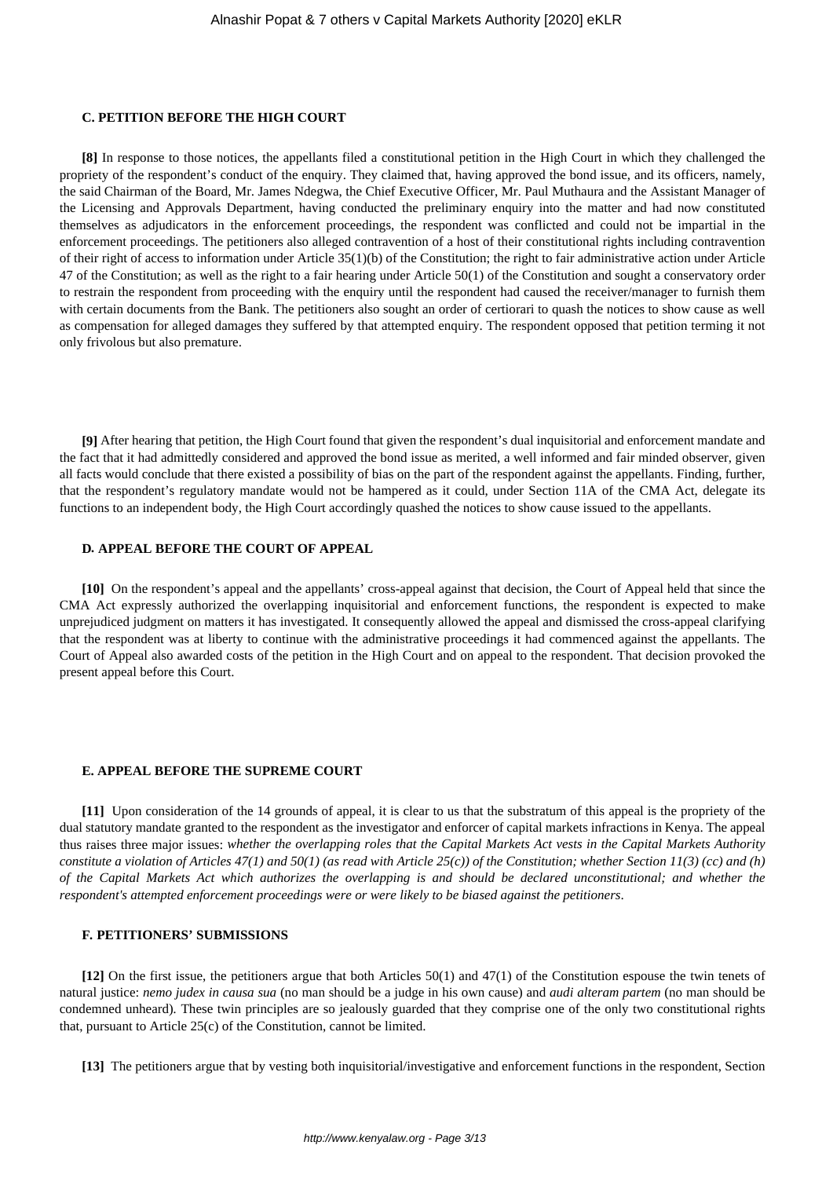#### **C. PETITION BEFORE THE HIGH COURT**

**[8]** In response to those notices, the appellants filed a constitutional petition in the High Court in which they challenged the propriety of the respondent's conduct of the enquiry. They claimed that, having approved the bond issue, and its officers, namely, the said Chairman of the Board, Mr. James Ndegwa, the Chief Executive Officer, Mr. Paul Muthaura and the Assistant Manager of the Licensing and Approvals Department, having conducted the preliminary enquiry into the matter and had now constituted themselves as adjudicators in the enforcement proceedings, the respondent was conflicted and could not be impartial in the enforcement proceedings. The petitioners also alleged contravention of a host of their constitutional rights including contravention of their right of access to information under Article 35(1)(b) of the Constitution; the right to fair administrative action under Article 47 of the Constitution; as well as the right to a fair hearing under Article 50(1) of the Constitution and sought a conservatory order to restrain the respondent from proceeding with the enquiry until the respondent had caused the receiver/manager to furnish them with certain documents from the Bank. The petitioners also sought an order of certiorari to quash the notices to show cause as well as compensation for alleged damages they suffered by that attempted enquiry. The respondent opposed that petition terming it not only frivolous but also premature.

**[9]** After hearing that petition, the High Court found that given the respondent's dual inquisitorial and enforcement mandate and the fact that it had admittedly considered and approved the bond issue as merited, a well informed and fair minded observer, given all facts would conclude that there existed a possibility of bias on the part of the respondent against the appellants. Finding, further, that the respondent's regulatory mandate would not be hampered as it could, under Section 11A of the CMA Act, delegate its functions to an independent body, the High Court accordingly quashed the notices to show cause issued to the appellants.

## **D***.* **APPEAL BEFORE THE COURT OF APPEAL**

**[10]** On the respondent's appeal and the appellants' cross-appeal against that decision, the Court of Appeal held that since the CMA Act expressly authorized the overlapping inquisitorial and enforcement functions, the respondent is expected to make unprejudiced judgment on matters it has investigated. It consequently allowed the appeal and dismissed the cross-appeal clarifying that the respondent was at liberty to continue with the administrative proceedings it had commenced against the appellants. The Court of Appeal also awarded costs of the petition in the High Court and on appeal to the respondent. That decision provoked the present appeal before this Court.

#### **E. APPEAL BEFORE THE SUPREME COURT**

**[11]** Upon consideration of the 14 grounds of appeal, it is clear to us that the substratum of this appeal is the propriety of the dual statutory mandate granted to the respondent as the investigator and enforcer of capital markets infractions in Kenya. The appeal thus raises three major issues: *whether the overlapping roles that the Capital Markets Act vests in the Capital Markets Authority constitute a violation of Articles 47(1) and 50(1) (as read with Article 25(c)) of the Constitution; whether Section 11(3) (cc) and (h) of the Capital Markets Act which authorizes the overlapping is and should be declared unconstitutional; and whether the respondent's attempted enforcement proceedings were or were likely to be biased against the petitioners*.

## **F***.* **PETITIONERS' SUBMISSIONS**

**[12]** On the first issue, the petitioners argue that both Articles 50(1) and 47(1) of the Constitution espouse the twin tenets of natural justice: *nemo judex in causa sua* (no man should be a judge in his own cause) and *audi alteram partem* (no man should be condemned unheard)*.* These twin principles are so jealously guarded that they comprise one of the only two constitutional rights that, pursuant to Article 25(c) of the Constitution, cannot be limited.

**[13]** The petitioners argue that by vesting both inquisitorial/investigative and enforcement functions in the respondent, Section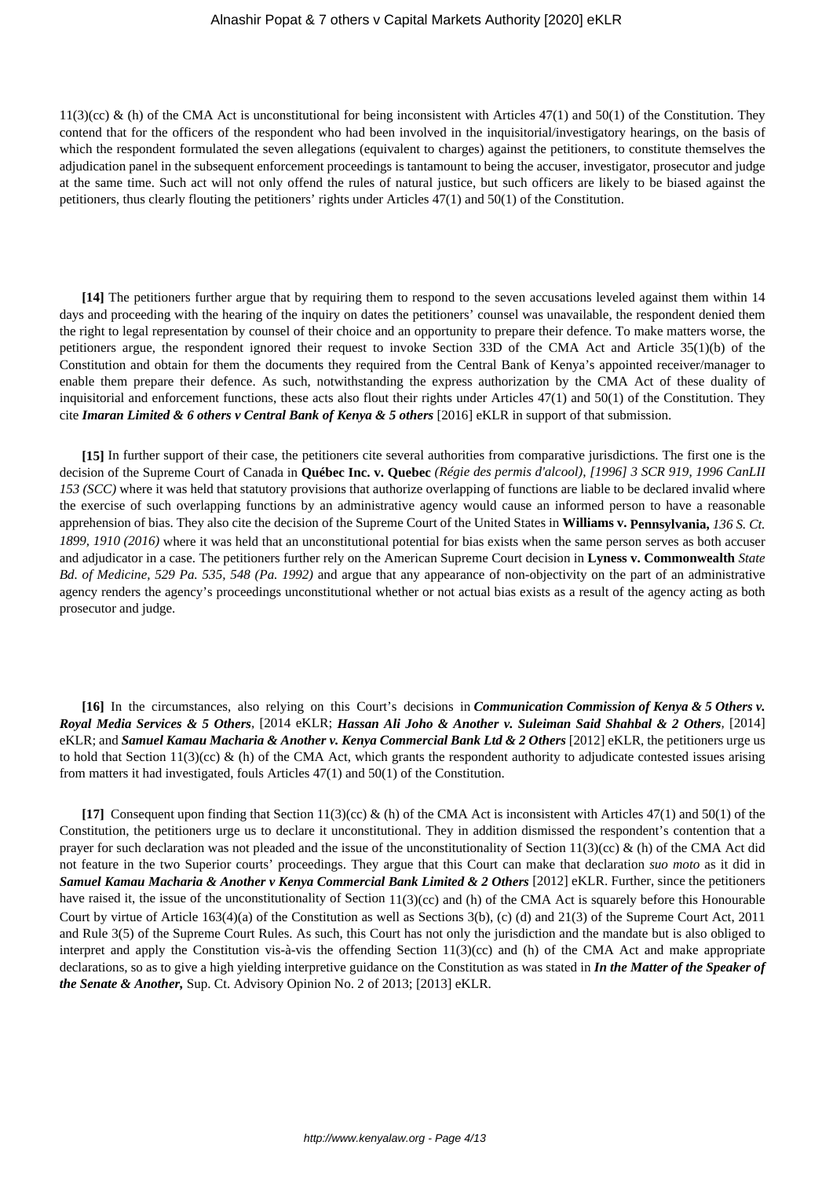$11(3)(cc)$  & (h) of the CMA Act is unconstitutional for being inconsistent with Articles 47(1) and 50(1) of the Constitution. They contend that for the officers of the respondent who had been involved in the inquisitorial/investigatory hearings, on the basis of which the respondent formulated the seven allegations (equivalent to charges) against the petitioners, to constitute themselves the adjudication panel in the subsequent enforcement proceedings is tantamount to being the accuser, investigator, prosecutor and judge at the same time. Such act will not only offend the rules of natural justice, but such officers are likely to be biased against the petitioners, thus clearly flouting the petitioners' rights under Articles 47(1) and 50(1) of the Constitution.

**[14]** The petitioners further argue that by requiring them to respond to the seven accusations leveled against them within 14 days and proceeding with the hearing of the inquiry on dates the petitioners' counsel was unavailable, the respondent denied them the right to legal representation by counsel of their choice and an opportunity to prepare their defence. To make matters worse, the petitioners argue, the respondent ignored their request to invoke Section 33D of the CMA Act and Article 35(1)(b) of the Constitution and obtain for them the documents they required from the Central Bank of Kenya's appointed receiver/manager to enable them prepare their defence. As such, notwithstanding the express authorization by the CMA Act of these duality of inquisitorial and enforcement functions, these acts also flout their rights under Articles 47(1) and 50(1) of the Constitution. They cite *Imaran Limited & 6 others v Central Bank of Kenya & 5 others* [2016] eKLR in support of that submission.

**[15]** In further support of their case, the petitioners cite several authorities from comparative jurisdictions. The first one is the decision of the Supreme Court of Canada in **Québec Inc. v. Quebec** *(Régie des permis d'alcool), [1996] 3 SCR 919, 1996 CanLII 153 (SCC)* where it was held that statutory provisions that authorize overlapping of functions are liable to be declared invalid where the exercise of such overlapping functions by an administrative agency would cause an informed person to have a reasonable apprehension of bias. They also cite the decision of the Supreme Court of the United States in **Williams v. Pennsylvania,** *136 S. Ct. 1899, 1910 (2016)* where it was held that an unconstitutional potential for bias exists when the same person serves as both accuser and adjudicator in a case. The petitioners further rely on the American Supreme Court decision in **Lyness v. Commonwealth** *State Bd. of Medicine, 529 Pa. 535, 548 (Pa. 1992)* and argue that any appearance of non-objectivity on the part of an administrative agency renders the agency's proceedings unconstitutional whether or not actual bias exists as a result of the agency acting as both prosecutor and judge.

**[16]** In the circumstances, also relying on this Court's decisions in *Communication Commission of Kenya & 5 Others v. Royal Media Services & 5 Others,* [2014 eKLR; *Hassan Ali Joho & Another v. Suleiman Said Shahbal & 2 Others,* [2014] eKLR; and *Samuel Kamau Macharia & Another v. Kenya Commercial Bank Ltd & 2 Others* [2012] eKLR, the petitioners urge us to hold that Section 11(3)(cc) & (h) of the CMA Act, which grants the respondent authority to adjudicate contested issues arising from matters it had investigated, fouls Articles 47(1) and 50(1) of the Constitution.

**[17]** Consequent upon finding that Section 11(3)(cc) & (h) of the CMA Act is inconsistent with Articles 47(1) and 50(1) of the Constitution, the petitioners urge us to declare it unconstitutional. They in addition dismissed the respondent's contention that a prayer for such declaration was not pleaded and the issue of the unconstitutionality of Section 11(3)(cc) & (h) of the CMA Act did not feature in the two Superior courts' proceedings. They argue that this Court can make that declaration *suo moto* as it did in *Samuel Kamau Macharia & Another v Kenya Commercial Bank Limited & 2 Others* [2012] eKLR. Further, since the petitioners have raised it, the issue of the unconstitutionality of Section 11(3)(cc) and (h) of the CMA Act is squarely before this Honourable Court by virtue of Article 163(4)(a) of the Constitution as well as Sections 3(b), (c) (d) and 21(3) of the Supreme Court Act, 2011 and Rule 3(5) of the Supreme Court Rules. As such, this Court has not only the jurisdiction and the mandate but is also obliged to interpret and apply the Constitution vis-à-vis the offending Section  $11(3)(cc)$  and (h) of the CMA Act and make appropriate declarations, so as to give a high yielding interpretive guidance on the Constitution as was stated in *In the Matter of the Speaker of the Senate & Another,* Sup. Ct. Advisory Opinion No. 2 of 2013; [2013] eKLR.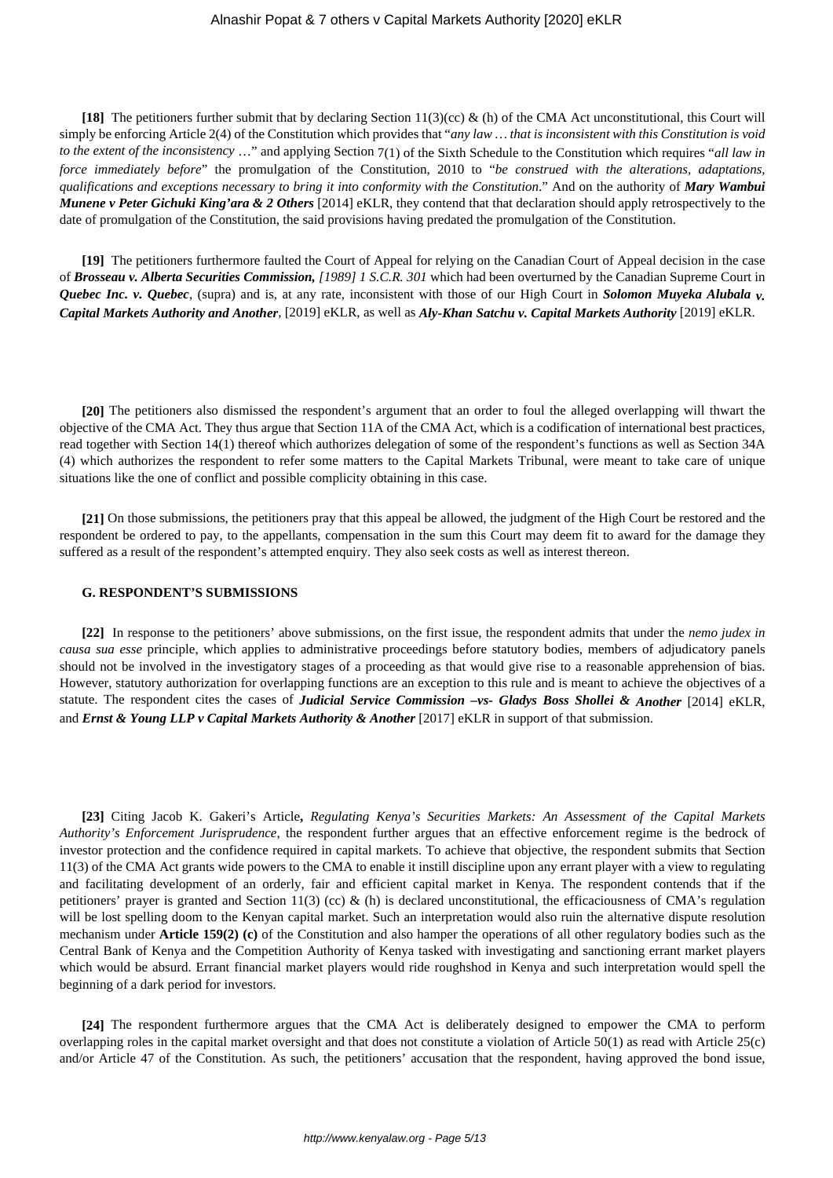**[18]** The petitioners further submit that by declaring Section 11(3)(cc) & (h) of the CMA Act unconstitutional, this Court will simply be enforcing Article 2(4) of the Constitution which provides that "*any law … that is inconsistent with this Constitution is void to the extent of the inconsistency* …" and applying Section 7(1) of the Sixth Schedule to the Constitution which requires "*all law in force immediately before*" the promulgation of the Constitution, 2010 to "*be construed with the alterations, adaptations, qualifications and exceptions necessary to bring it into conformity with the Constitution*." And on the authority of *Mary Wambui Munene v Peter Gichuki King'ara & 2 Others* [2014] eKLR, they contend that that declaration should apply retrospectively to the date of promulgation of the Constitution, the said provisions having predated the promulgation of the Constitution.

**[19]** The petitioners furthermore faulted the Court of Appeal for relying on the Canadian Court of Appeal decision in the case of *Brosseau v. Alberta Securities Commission, [1989] 1 S.C.R. 301* which had been overturned by the Canadian Supreme Court in *Quebec Inc. v. Quebec*, (supra) and is, at any rate, inconsistent with those of our High Court in *Solomon Muyeka Alubala v. Capital Markets Authority and Another,* [2019] eKLR, as well as *Aly-Khan Satchu v. Capital Markets Authority* [2019] eKLR.

**[20]** The petitioners also dismissed the respondent's argument that an order to foul the alleged overlapping will thwart the objective of the CMA Act. They thus argue that Section 11A of the CMA Act, which is a codification of international best practices, read together with Section 14(1) thereof which authorizes delegation of some of the respondent's functions as well as Section 34A (4) which authorizes the respondent to refer some matters to the Capital Markets Tribunal, were meant to take care of unique situations like the one of conflict and possible complicity obtaining in this case.

**[21]** On those submissions, the petitioners pray that this appeal be allowed, the judgment of the High Court be restored and the respondent be ordered to pay, to the appellants, compensation in the sum this Court may deem fit to award for the damage they suffered as a result of the respondent's attempted enquiry. They also seek costs as well as interest thereon.

#### **G. RESPONDENT'S SUBMISSIONS**

**[22]** In response to the petitioners' above submissions, on the first issue, the respondent admits that under the *nemo judex in causa sua esse* principle, which applies to administrative proceedings before statutory bodies, members of adjudicatory panels should not be involved in the investigatory stages of a proceeding as that would give rise to a reasonable apprehension of bias. However, statutory authorization for overlapping functions are an exception to this rule and is meant to achieve the objectives of a statute. The respondent cites the cases of *Judicial Service Commission –vs- Gladys Boss Shollei & Another* [2014] eKLR, and *Ernst & Young LLP v Capital Markets Authority & Another* [2017] eKLR in support of that submission.

**[23]** Citing Jacob K. Gakeri's Article**,** *Regulating Kenya's Securities Markets: An Assessment of the Capital Markets Authority's Enforcement Jurisprudence*, the respondent further argues that an effective enforcement regime is the bedrock of investor protection and the confidence required in capital markets. To achieve that objective, the respondent submits that Section 11(3) of the CMA Act grants wide powers to the CMA to enable it instill discipline upon any errant player with a view to regulating and facilitating development of an orderly, fair and efficient capital market in Kenya. The respondent contends that if the petitioners' prayer is granted and Section 11(3) (cc) & (h) is declared unconstitutional, the efficaciousness of CMA's regulation will be lost spelling doom to the Kenyan capital market. Such an interpretation would also ruin the alternative dispute resolution mechanism under **Article 159(2) (c)** of the Constitution and also hamper the operations of all other regulatory bodies such as the Central Bank of Kenya and the Competition Authority of Kenya tasked with investigating and sanctioning errant market players which would be absurd. Errant financial market players would ride roughshod in Kenya and such interpretation would spell the beginning of a dark period for investors.

**[24]** The respondent furthermore argues that the CMA Act is deliberately designed to empower the CMA to perform overlapping roles in the capital market oversight and that does not constitute a violation of Article 50(1) as read with Article 25(c) and/or Article 47 of the Constitution. As such, the petitioners' accusation that the respondent, having approved the bond issue,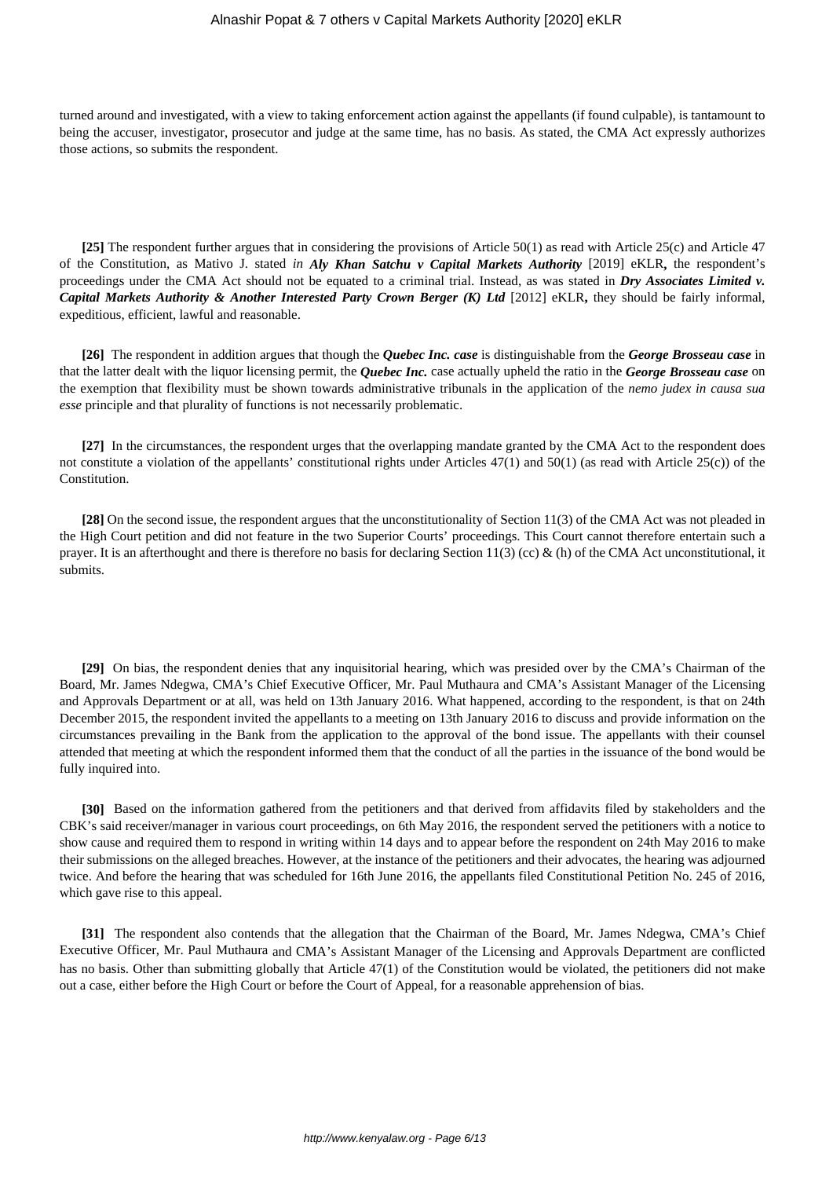turned around and investigated, with a view to taking enforcement action against the appellants (if found culpable), is tantamount to being the accuser, investigator, prosecutor and judge at the same time, has no basis. As stated, the CMA Act expressly authorizes those actions, so submits the respondent.

**[25]** The respondent further argues that in considering the provisions of Article 50(1) as read with Article 25(c) and Article 47 of the Constitution, as Mativo J. stated *in Aly Khan Satchu v Capital Markets Authority* [2019] eKLR**,** the respondent's proceedings under the CMA Act should not be equated to a criminal trial. Instead, as was stated in *Dry Associates Limited v. Capital Markets Authority & Another Interested Party Crown Berger (K) Ltd* [2012] eKLR**,** they should be fairly informal, expeditious, efficient, lawful and reasonable.

**[26]** The respondent in addition argues that though the *Quebec Inc. case* is distinguishable from the *George Brosseau case* in that the latter dealt with the liquor licensing permit, the *Quebec Inc.* case actually upheld the ratio in the *George Brosseau case* on the exemption that flexibility must be shown towards administrative tribunals in the application of the *nemo judex in causa sua esse* principle and that plurality of functions is not necessarily problematic.

**[27]** In the circumstances, the respondent urges that the overlapping mandate granted by the CMA Act to the respondent does not constitute a violation of the appellants' constitutional rights under Articles 47(1) and 50(1) (as read with Article 25(c)) of the Constitution.

**[28]** On the second issue, the respondent argues that the unconstitutionality of Section 11(3) of the CMA Act was not pleaded in the High Court petition and did not feature in the two Superior Courts' proceedings. This Court cannot therefore entertain such a prayer. It is an afterthought and there is therefore no basis for declaring Section 11(3) (cc) & (h) of the CMA Act unconstitutional, it submits.

**[29]** On bias, the respondent denies that any inquisitorial hearing, which was presided over by the CMA's Chairman of the Board, Mr. James Ndegwa, CMA's Chief Executive Officer, Mr. Paul Muthaura and CMA's Assistant Manager of the Licensing and Approvals Department or at all, was held on 13th January 2016. What happened, according to the respondent, is that on 24th December 2015, the respondent invited the appellants to a meeting on 13th January 2016 to discuss and provide information on the circumstances prevailing in the Bank from the application to the approval of the bond issue. The appellants with their counsel attended that meeting at which the respondent informed them that the conduct of all the parties in the issuance of the bond would be fully inquired into.

**[30]** Based on the information gathered from the petitioners and that derived from affidavits filed by stakeholders and the CBK's said receiver/manager in various court proceedings, on 6th May 2016, the respondent served the petitioners with a notice to show cause and required them to respond in writing within 14 days and to appear before the respondent on 24th May 2016 to make their submissions on the alleged breaches. However, at the instance of the petitioners and their advocates, the hearing was adjourned twice. And before the hearing that was scheduled for 16th June 2016, the appellants filed Constitutional Petition No. 245 of 2016, which gave rise to this appeal.

**[31]** The respondent also contends that the allegation that the Chairman of the Board, Mr. James Ndegwa, CMA's Chief Executive Officer, Mr. Paul Muthaura and CMA's Assistant Manager of the Licensing and Approvals Department are conflicted has no basis. Other than submitting globally that Article 47(1) of the Constitution would be violated, the petitioners did not make out a case, either before the High Court or before the Court of Appeal, for a reasonable apprehension of bias.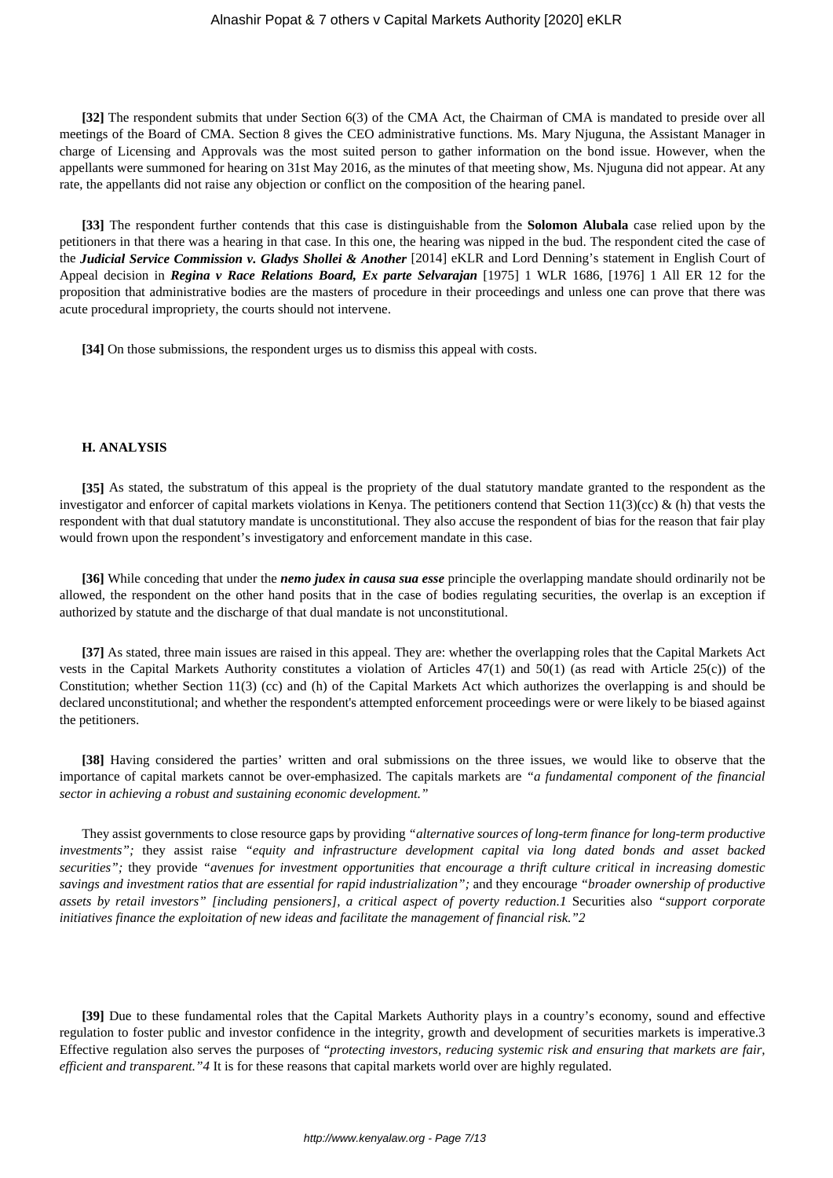**[32]** The respondent submits that under Section 6(3) of the CMA Act, the Chairman of CMA is mandated to preside over all meetings of the Board of CMA. Section 8 gives the CEO administrative functions. Ms. Mary Njuguna, the Assistant Manager in charge of Licensing and Approvals was the most suited person to gather information on the bond issue. However, when the appellants were summoned for hearing on 31st May 2016, as the minutes of that meeting show, Ms. Njuguna did not appear. At any rate, the appellants did not raise any objection or conflict on the composition of the hearing panel.

**[33]** The respondent further contends that this case is distinguishable from the **Solomon Alubala** case relied upon by the petitioners in that there was a hearing in that case. In this one, the hearing was nipped in the bud. The respondent cited the case of the *Judicial Service Commission v. Gladys Shollei & Another* [2014] eKLR and Lord Denning's statement in English Court of Appeal decision in *Regina v Race Relations Board, Ex parte Selvarajan* [1975] 1 WLR 1686, [1976] 1 All ER 12 for the proposition that administrative bodies are the masters of procedure in their proceedings and unless one can prove that there was acute procedural impropriety, the courts should not intervene.

**[34]** On those submissions, the respondent urges us to dismiss this appeal with costs.

### **H. ANALYSIS**

**[35]** As stated, the substratum of this appeal is the propriety of the dual statutory mandate granted to the respondent as the investigator and enforcer of capital markets violations in Kenya. The petitioners contend that Section 11(3)(cc) & (h) that vests the respondent with that dual statutory mandate is unconstitutional. They also accuse the respondent of bias for the reason that fair play would frown upon the respondent's investigatory and enforcement mandate in this case.

**[36]** While conceding that under the *nemo judex in causa sua esse* principle the overlapping mandate should ordinarily not be allowed, the respondent on the other hand posits that in the case of bodies regulating securities, the overlap is an exception if authorized by statute and the discharge of that dual mandate is not unconstitutional.

**[37]** As stated, three main issues are raised in this appeal. They are: whether the overlapping roles that the Capital Markets Act vests in the Capital Markets Authority constitutes a violation of Articles 47(1) and 50(1) (as read with Article 25(c)) of the Constitution; whether Section 11(3) (cc) and (h) of the Capital Markets Act which authorizes the overlapping is and should be declared unconstitutional; and whether the respondent's attempted enforcement proceedings were or were likely to be biased against the petitioners.

**[38]** Having considered the parties' written and oral submissions on the three issues, we would like to observe that the importance of capital markets cannot be over-emphasized. The capitals markets are *"a fundamental component of the financial sector in achieving a robust and sustaining economic development."*

They assist governments to close resource gaps by providing *"alternative sources of long-term finance for long-term productive investments";* they assist raise *"equity and infrastructure development capital via long dated bonds and asset backed securities";* they provide *"avenues for investment opportunities that encourage a thrift culture critical in increasing domestic savings and investment ratios that are essential for rapid industrialization";* and they encourage *"broader ownership of productive assets by retail investors" [including pensioners], a critical aspect of poverty reduction.1* Securities also *"support corporate initiatives finance the exploitation of new ideas and facilitate the management of financial risk."2*

**[39]** Due to these fundamental roles that the Capital Markets Authority plays in a country's economy, sound and effective regulation to foster public and investor confidence in the integrity, growth and development of securities markets is imperative.3 Effective regulation also serves the purposes of "*protecting investors, reducing systemic risk and ensuring that markets are fair, efficient and transparent."4* It is for these reasons that capital markets world over are highly regulated.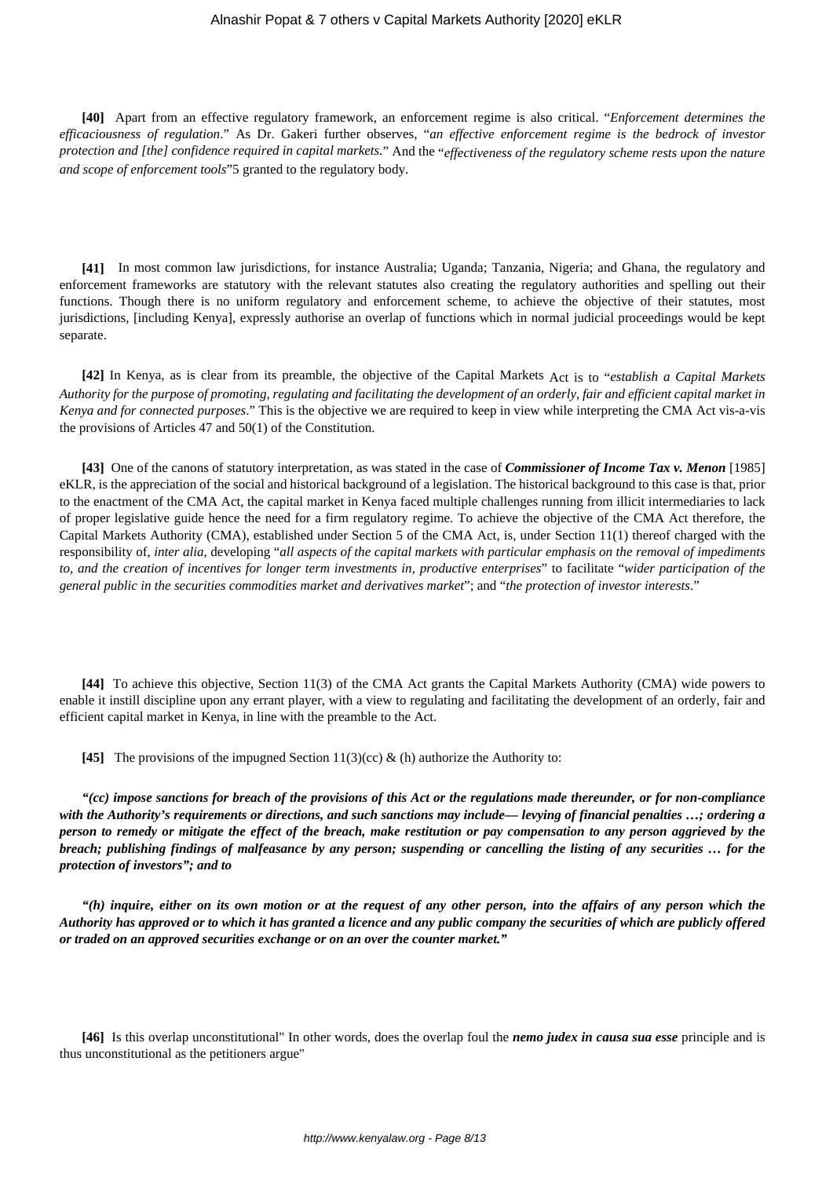**[40]** Apart from an effective regulatory framework, an enforcement regime is also critical. "*Enforcement determines the efficaciousness of regulation*." As Dr. Gakeri further observes, "*an effective enforcement regime is the bedrock of investor protection and [the] confidence required in capital markets.*" And the "*effectiveness of the regulatory scheme rests upon the nature and scope of enforcement tools*"5 granted to the regulatory body.

**[41]** In most common law jurisdictions, for instance Australia; Uganda; Tanzania, Nigeria; and Ghana, the regulatory and enforcement frameworks are statutory with the relevant statutes also creating the regulatory authorities and spelling out their functions. Though there is no uniform regulatory and enforcement scheme, to achieve the objective of their statutes, most jurisdictions, [including Kenya], expressly authorise an overlap of functions which in normal judicial proceedings would be kept separate.

**[42]** In Kenya, as is clear from its preamble, the objective of the Capital Markets Act is to "*establish a Capital Markets Authority for the purpose of promoting, regulating and facilitating the development of an orderly, fair and efficient capital market in Kenya and for connected purposes*." This is the objective we are required to keep in view while interpreting the CMA Act vis-a-vis the provisions of Articles 47 and 50(1) of the Constitution.

**[43]** One of the canons of statutory interpretation, as was stated in the case of *Commissioner of Income Tax v. Menon* [1985] eKLR, is the appreciation of the social and historical background of a legislation. The historical background to this case is that, prior to the enactment of the CMA Act, the capital market in Kenya faced multiple challenges running from illicit intermediaries to lack of proper legislative guide hence the need for a firm regulatory regime. To achieve the objective of the CMA Act therefore, the Capital Markets Authority (CMA), established under Section 5 of the CMA Act, is, under Section 11(1) thereof charged with the responsibility of, *inter alia*, developing "*all aspects of the capital markets with particular emphasis on the removal of impediments to, and the creation of incentives for longer term investments in, productive enterprises*" to facilitate "*wider participation of the general public in the securities commodities market and derivatives market*"; and "*the protection of investor interests*."

**[44]** To achieve this objective, Section 11(3) of the CMA Act grants the Capital Markets Authority (CMA) wide powers to enable it instill discipline upon any errant player, with a view to regulating and facilitating the development of an orderly, fair and efficient capital market in Kenya, in line with the preamble to the Act.

**[45]** The provisions of the impugned Section 11(3)(cc) & (h) authorize the Authority to:

*"(cc) impose sanctions for breach of the provisions of this Act or the regulations made thereunder, or for non-compliance with the Authority's requirements or directions, and such sanctions may include— levying of financial penalties …; ordering a person to remedy or mitigate the effect of the breach, make restitution or pay compensation to any person aggrieved by the breach; publishing findings of malfeasance by any person; suspending or cancelling the listing of any securities … for the protection of investors"; and to*

*"(h) inquire, either on its own motion or at the request of any other person, into the affairs of any person which the Authority has approved or to which it has granted a licence and any public company the securities of which are publicly offered or traded on an approved securities exchange or on an over the counter market."*

**[46]** Is this overlap unconstitutional" In other words, does the overlap foul the *nemo judex in causa sua esse* principle and is thus unconstitutional as the petitioners argue"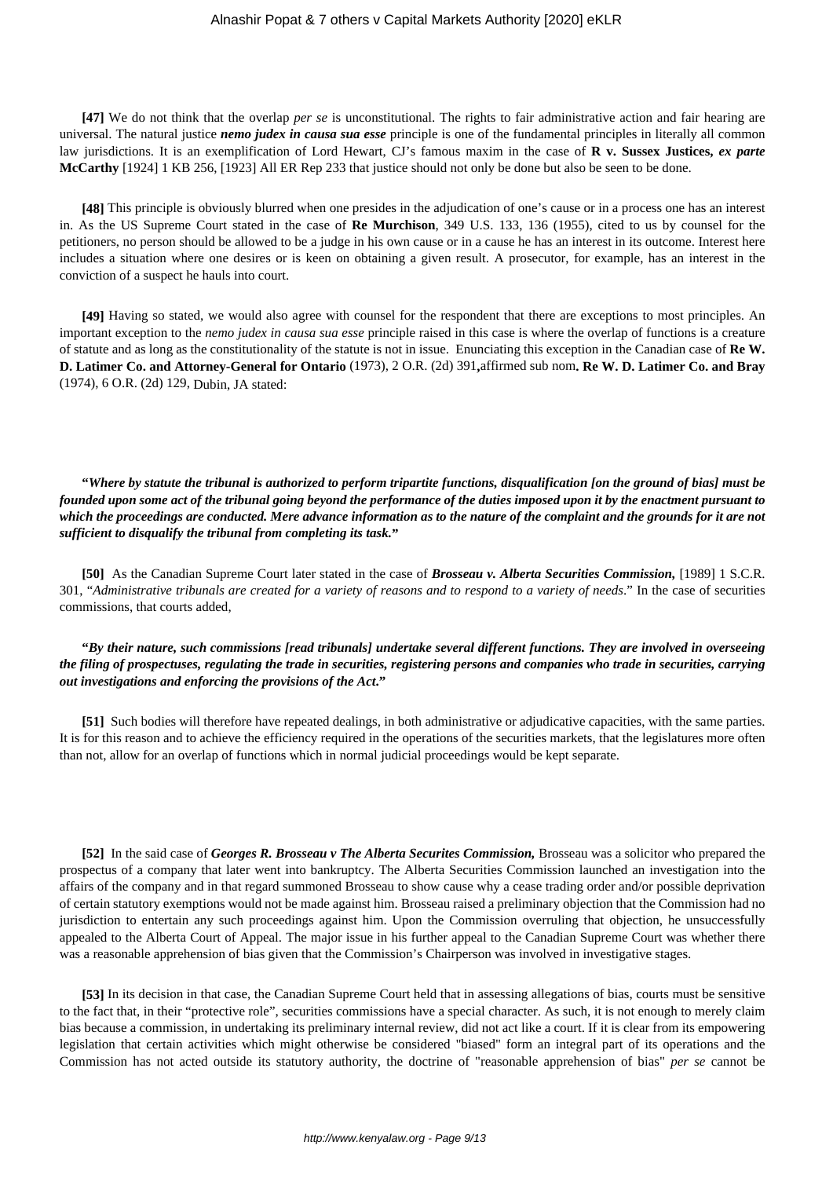**[47]** We do not think that the overlap *per se* is unconstitutional. The rights to fair administrative action and fair hearing are universal. The natural justice *nemo judex in causa sua esse* principle is one of the fundamental principles in literally all common law jurisdictions. It is an exemplification of Lord Hewart, CJ's famous maxim in the case of **R v. Sussex Justices,** *ex parte* **McCarthy** [1924] 1 KB 256, [1923] All ER Rep 233 that justice should not only be done but also be seen to be done.

**[48]** This principle is obviously blurred when one presides in the adjudication of one's cause or in a process one has an interest in. As the US Supreme Court stated in the case of **Re Murchison**, 349 U.S. 133, 136 (1955), cited to us by counsel for the petitioners, no person should be allowed to be a judge in his own cause or in a cause he has an interest in its outcome. Interest here includes a situation where one desires or is keen on obtaining a given result. A prosecutor, for example, has an interest in the conviction of a suspect he hauls into court.

**[49]** Having so stated, we would also agree with counsel for the respondent that there are exceptions to most principles. An important exception to the *nemo judex in causa sua esse* principle raised in this case is where the overlap of functions is a creature of statute and as long as the constitutionality of the statute is not in issue. Enunciating this exception in the Canadian case of **Re W. D. Latimer Co. and Attorney-General for Ontario** (1973), 2 O.R. (2d) 391**,**affirmed sub nom**. Re W. D. Latimer Co. and Bray** (1974), 6 O.R. (2d) 129, Dubin, JA stated:

**"***Where by statute the tribunal is authorized to perform tripartite functions, disqualification [on the ground of bias] must be founded upon some act of the tribunal going beyond the performance of the duties imposed upon it by the enactment pursuant to which the proceedings are conducted. Mere advance information as to the nature of the complaint and the grounds for it are not sufficient to disqualify the tribunal from completing its task.***"**

**[50]** As the Canadian Supreme Court later stated in the case of *Brosseau v. Alberta Securities Commission,* [1989] 1 S.C.R. 301, "*Administrative tribunals are created for a variety of reasons and to respond to a variety of needs*." In the case of securities commissions, that courts added,

**"***By their nature, such commissions [read tribunals] undertake several different functions. They are involved in overseeing the filing of prospectuses, regulating the trade in securities, registering persons and companies who trade in securities, carrying out investigations and enforcing the provisions of the Act***."**

**[51]** Such bodies will therefore have repeated dealings, in both administrative or adjudicative capacities, with the same parties. It is for this reason and to achieve the efficiency required in the operations of the securities markets, that the legislatures more often than not, allow for an overlap of functions which in normal judicial proceedings would be kept separate.

**[52]** In the said case of *Georges R. Brosseau v The Alberta Securites Commission,* Brosseau was a solicitor who prepared the prospectus of a company that later went into bankruptcy. The Alberta Securities Commission launched an investigation into the affairs of the company and in that regard summoned Brosseau to show cause why a cease trading order and/or possible deprivation of certain statutory exemptions would not be made against him. Brosseau raised a preliminary objection that the Commission had no jurisdiction to entertain any such proceedings against him. Upon the Commission overruling that objection, he unsuccessfully appealed to the Alberta Court of Appeal. The major issue in his further appeal to the Canadian Supreme Court was whether there was a reasonable apprehension of bias given that the Commission's Chairperson was involved in investigative stages.

**[53]** In its decision in that case, the Canadian Supreme Court held that in assessing allegations of bias, courts must be sensitive to the fact that, in their "protective role", securities commissions have a special character. As such, it is not enough to merely claim bias because a commission, in undertaking its preliminary internal review, did not act like a court. If it is clear from its empowering legislation that certain activities which might otherwise be considered "biased" form an integral part of its operations and the Commission has not acted outside its statutory authority, the doctrine of "reasonable apprehension of bias" *per se* cannot be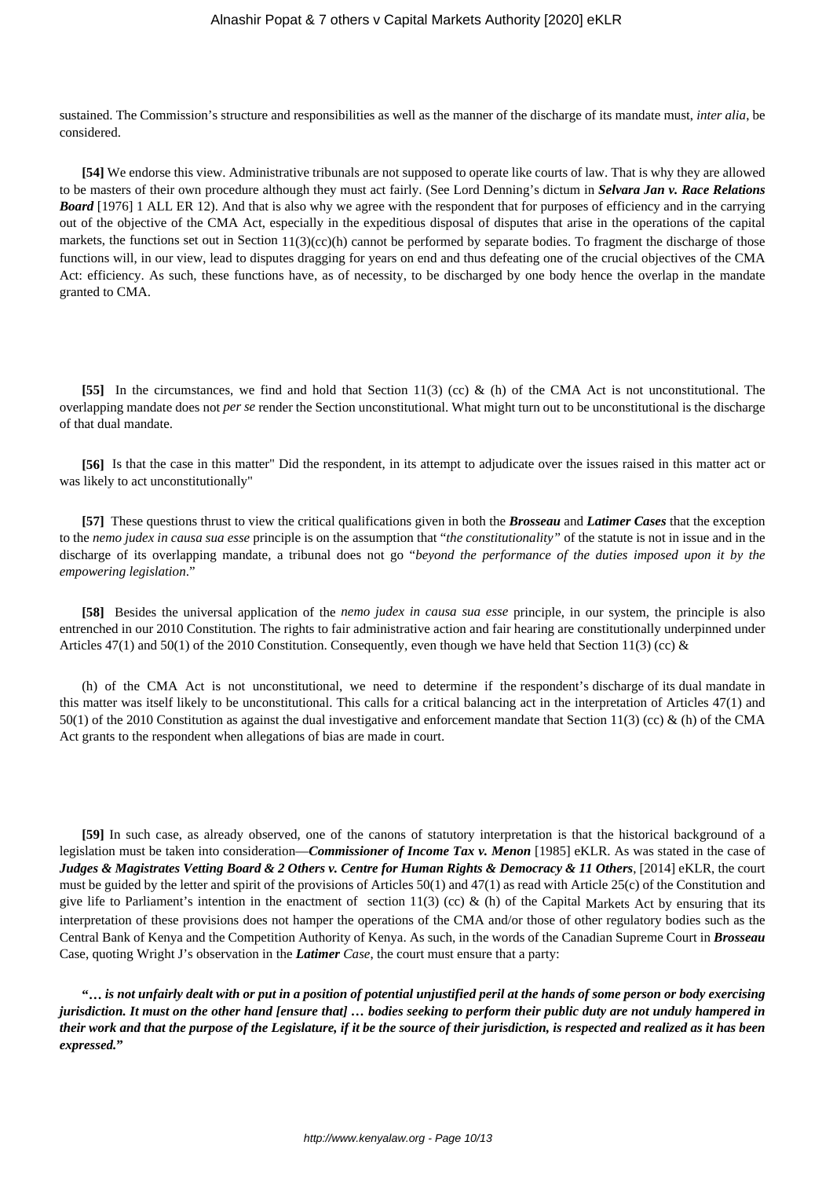sustained. The Commission's structure and responsibilities as well as the manner of the discharge of its mandate must, *inter alia*, be considered.

**[54]** We endorse this view. Administrative tribunals are not supposed to operate like courts of law. That is why they are allowed to be masters of their own procedure although they must act fairly. (See Lord Denning's dictum in *Selvara Jan v. Race Relations* **Board** [1976] 1 ALL ER 12). And that is also why we agree with the respondent that for purposes of efficiency and in the carrying out of the objective of the CMA Act, especially in the expeditious disposal of disputes that arise in the operations of the capital markets, the functions set out in Section 11(3)(cc)(h) cannot be performed by separate bodies. To fragment the discharge of those functions will, in our view, lead to disputes dragging for years on end and thus defeating one of the crucial objectives of the CMA Act: efficiency. As such, these functions have, as of necessity, to be discharged by one body hence the overlap in the mandate granted to CMA.

**[55]** In the circumstances, we find and hold that Section 11(3) (cc) & (h) of the CMA Act is not unconstitutional. The overlapping mandate does not *per se* render the Section unconstitutional. What might turn out to be unconstitutional is the discharge of that dual mandate.

**[56]** Is that the case in this matter" Did the respondent, in its attempt to adjudicate over the issues raised in this matter act or was likely to act unconstitutionally"

**[57]** These questions thrust to view the critical qualifications given in both the *Brosseau* and *Latimer Cases* that the exception to the *nemo judex in causa sua esse* principle is on the assumption that "*the constitutionality"* of the statute is not in issue and in the discharge of its overlapping mandate, a tribunal does not go "*beyond the performance of the duties imposed upon it by the empowering legislation*."

**[58]** Besides the universal application of the *nemo judex in causa sua esse* principle, in our system, the principle is also entrenched in our 2010 Constitution. The rights to fair administrative action and fair hearing are constitutionally underpinned under Articles 47(1) and 50(1) of the 2010 Constitution. Consequently, even though we have held that Section 11(3) (cc) &

(h) of the CMA Act is not unconstitutional, we need to determine if the respondent's discharge of its dual mandate in this matter was itself likely to be unconstitutional. This calls for a critical balancing act in the interpretation of Articles 47(1) and 50(1) of the 2010 Constitution as against the dual investigative and enforcement mandate that Section 11(3) (cc) & (h) of the CMA Act grants to the respondent when allegations of bias are made in court.

**[59]** In such case, as already observed, one of the canons of statutory interpretation is that the historical background of a legislation must be taken into consideration—*Commissioner of Income Tax v. Menon* [1985] eKLR. As was stated in the case of *Judges & Magistrates Vetting Board & 2 Others v. Centre for Human Rights & Democracy & 11 Others*, [2014] eKLR, the court must be guided by the letter and spirit of the provisions of Articles 50(1) and 47(1) as read with Article 25(c) of the Constitution and give life to Parliament's intention in the enactment of section 11(3) (cc) & (h) of the Capital Markets Act by ensuring that its interpretation of these provisions does not hamper the operations of the CMA and/or those of other regulatory bodies such as the Central Bank of Kenya and the Competition Authority of Kenya. As such, in the words of the Canadian Supreme Court in *Brosseau* Case, quoting Wright J's observation in the *Latimer Case*, the court must ensure that a party:

**"…** *is not unfairly dealt with or put in a position of potential unjustified peril at the hands of some person or body exercising jurisdiction. It must on the other hand [ensure that] … bodies seeking to perform their public duty are not unduly hampered in their work and that the purpose of the Legislature, if it be the source of their jurisdiction, is respected and realized as it has been expressed.***"**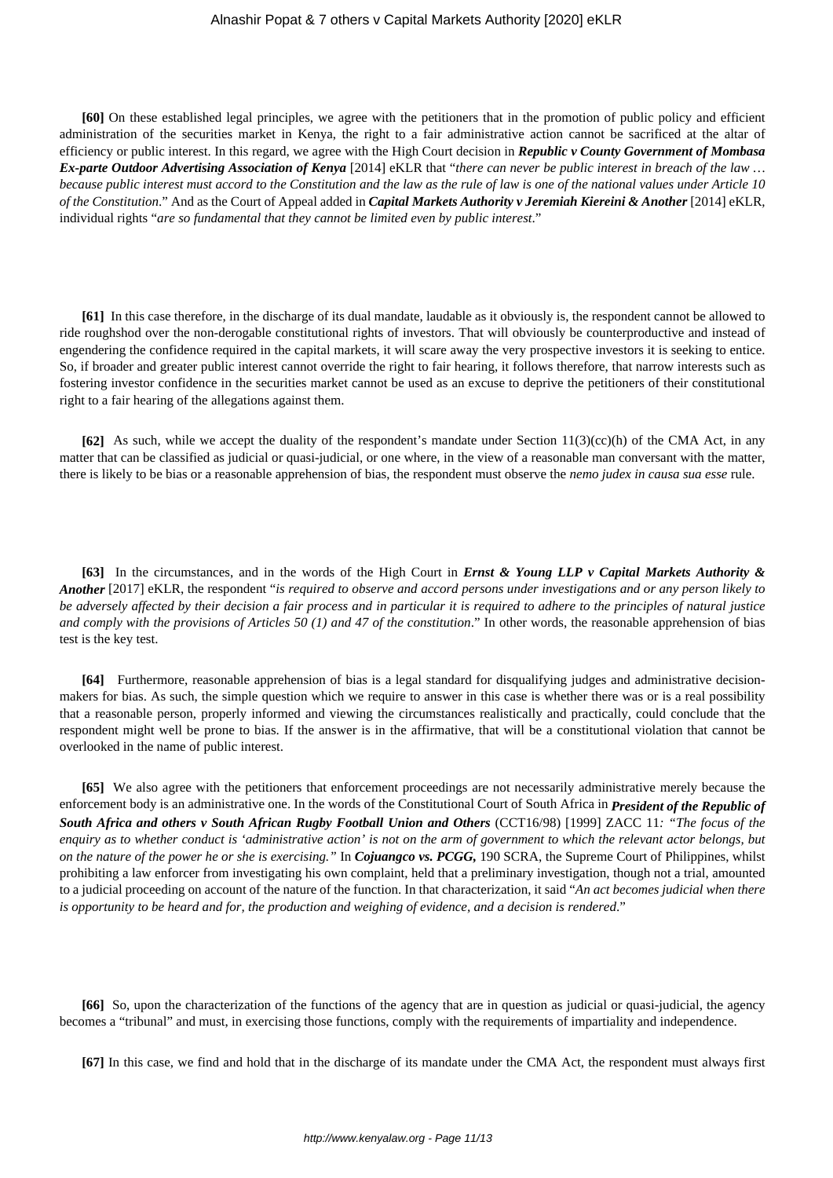**[60]** On these established legal principles, we agree with the petitioners that in the promotion of public policy and efficient administration of the securities market in Kenya, the right to a fair administrative action cannot be sacrificed at the altar of efficiency or public interest. In this regard, we agree with the High Court decision in *Republic v County Government of Mombasa Ex-parte Outdoor Advertising Association of Kenya* [2014] eKLR that "*there can never be public interest in breach of the law … because public interest must accord to the Constitution and the law as the rule of law is one of the national values under Article 10 of the Constitution*." And as the Court of Appeal added in *Capital Markets Authority v Jeremiah Kiereini & Another* [2014] eKLR*,* individual rights "*are so fundamental that they cannot be limited even by public interest*."

**[61]** In this case therefore, in the discharge of its dual mandate, laudable as it obviously is, the respondent cannot be allowed to ride roughshod over the non-derogable constitutional rights of investors. That will obviously be counterproductive and instead of engendering the confidence required in the capital markets, it will scare away the very prospective investors it is seeking to entice. So, if broader and greater public interest cannot override the right to fair hearing, it follows therefore, that narrow interests such as fostering investor confidence in the securities market cannot be used as an excuse to deprive the petitioners of their constitutional right to a fair hearing of the allegations against them.

**[62]** As such, while we accept the duality of the respondent's mandate under Section  $11(3)(cc)$ (h) of the CMA Act, in any matter that can be classified as judicial or quasi-judicial, or one where, in the view of a reasonable man conversant with the matter, there is likely to be bias or a reasonable apprehension of bias, the respondent must observe the *nemo judex in causa sua esse* rule.

**[63]** In the circumstances, and in the words of the High Court in *Ernst & Young LLP v Capital Markets Authority & Another* [2017] eKLR, the respondent "*is required to observe and accord persons under investigations and or any person likely to be adversely affected by their decision a fair process and in particular it is required to adhere to the principles of natural justice and comply with the provisions of Articles 50 (1) and 47 of the constitution*." In other words, the reasonable apprehension of bias test is the key test.

**[64]** Furthermore, reasonable apprehension of bias is a legal standard for disqualifying judges and administrative decisionmakers for bias. As such, the simple question which we require to answer in this case is whether there was or is a real possibility that a reasonable person, properly informed and viewing the circumstances realistically and practically, could conclude that the respondent might well be prone to bias. If the answer is in the affirmative, that will be a constitutional violation that cannot be overlooked in the name of public interest.

**[65]** We also agree with the petitioners that enforcement proceedings are not necessarily administrative merely because the enforcement body is an administrative one. In the words of the Constitutional Court of South Africa in *President of the Republic of South Africa and others v South African Rugby Football Union and Others* (CCT16/98) [1999] ZACC 11*: "The focus of the enquiry as to whether conduct is 'administrative action' is not on the arm of government to which the relevant actor belongs, but on the nature of the power he or she is exercising."* In *Cojuangco vs. PCGG,* 190 SCRA, the Supreme Court of Philippines, whilst prohibiting a law enforcer from investigating his own complaint, held that a preliminary investigation, though not a trial, amounted to a judicial proceeding on account of the nature of the function. In that characterization, it said "*An act becomes judicial when there is opportunity to be heard and for, the production and weighing of evidence, and a decision is rendered*."

**[66]** So, upon the characterization of the functions of the agency that are in question as judicial or quasi-judicial, the agency becomes a "tribunal" and must, in exercising those functions, comply with the requirements of impartiality and independence.

**[67]** In this case, we find and hold that in the discharge of its mandate under the CMA Act, the respondent must always first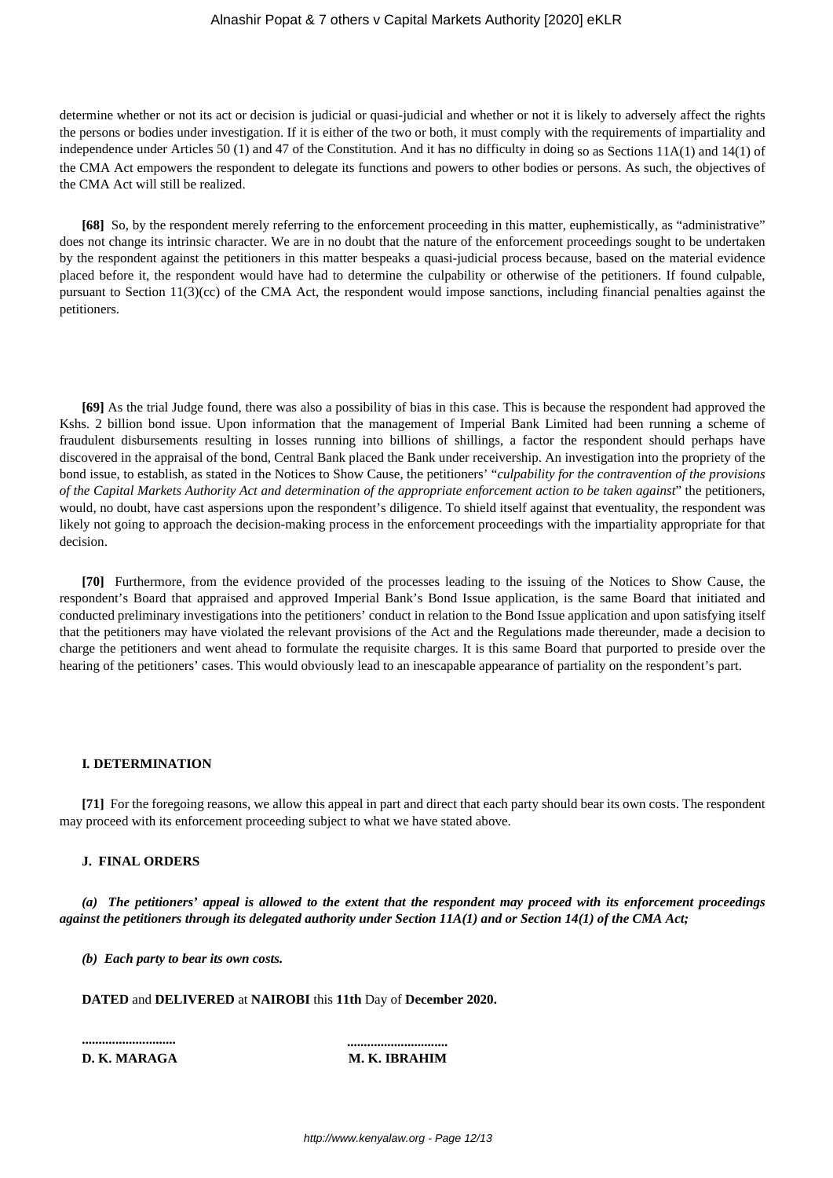determine whether or not its act or decision is judicial or quasi-judicial and whether or not it is likely to adversely affect the rights the persons or bodies under investigation. If it is either of the two or both, it must comply with the requirements of impartiality and independence under Articles 50 (1) and 47 of the Constitution. And it has no difficulty in doing so as Sections 11A(1) and 14(1) of the CMA Act empowers the respondent to delegate its functions and powers to other bodies or persons. As such, the objectives of the CMA Act will still be realized.

**[68]** So, by the respondent merely referring to the enforcement proceeding in this matter, euphemistically, as "administrative" does not change its intrinsic character. We are in no doubt that the nature of the enforcement proceedings sought to be undertaken by the respondent against the petitioners in this matter bespeaks a quasi-judicial process because, based on the material evidence placed before it, the respondent would have had to determine the culpability or otherwise of the petitioners. If found culpable, pursuant to Section 11(3)(cc) of the CMA Act, the respondent would impose sanctions, including financial penalties against the petitioners.

**[69]** As the trial Judge found, there was also a possibility of bias in this case. This is because the respondent had approved the Kshs. 2 billion bond issue. Upon information that the management of Imperial Bank Limited had been running a scheme of fraudulent disbursements resulting in losses running into billions of shillings, a factor the respondent should perhaps have discovered in the appraisal of the bond, Central Bank placed the Bank under receivership. An investigation into the propriety of the bond issue, to establish, as stated in the Notices to Show Cause, the petitioners' "*culpability for the contravention of the provisions of the Capital Markets Authority Act and determination of the appropriate enforcement action to be taken against*" the petitioners, would, no doubt, have cast aspersions upon the respondent's diligence. To shield itself against that eventuality, the respondent was likely not going to approach the decision-making process in the enforcement proceedings with the impartiality appropriate for that decision.

**[70]** Furthermore, from the evidence provided of the processes leading to the issuing of the Notices to Show Cause, the respondent's Board that appraised and approved Imperial Bank's Bond Issue application, is the same Board that initiated and conducted preliminary investigations into the petitioners' conduct in relation to the Bond Issue application and upon satisfying itself that the petitioners may have violated the relevant provisions of the Act and the Regulations made thereunder, made a decision to charge the petitioners and went ahead to formulate the requisite charges. It is this same Board that purported to preside over the hearing of the petitioners' cases. This would obviously lead to an inescapable appearance of partiality on the respondent's part.

## **I***.* **DETERMINATION**

**[71]** For the foregoing reasons, we allow this appeal in part and direct that each party should bear its own costs. The respondent may proceed with its enforcement proceeding subject to what we have stated above.

## **J. FINAL ORDERS**

*(a) The petitioners' appeal is allowed to the extent that the respondent may proceed with its enforcement proceedings against the petitioners through its delegated authority under Section 11A(1) and or Section 14(1) of the CMA Act;*

*(b) Each party to bear its own costs.*

**DATED** and **DELIVERED** at **NAIROBI** this **11th** Day of **December 2020.**

**............................ ..............................**

# **D. K. MARAGA M. K. IBRAHIM**